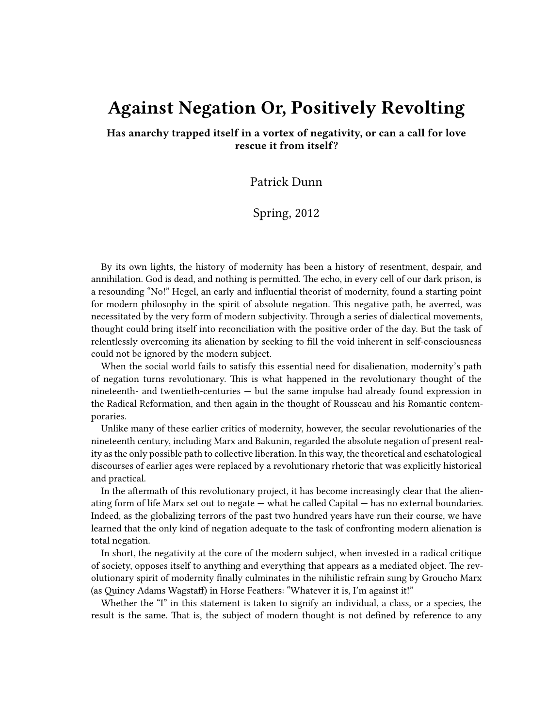## **Against Negation Or, Positively Revolting**

**Has anarchy trapped itself in a vortex of negativity, or can a call for love rescue it from itself?**

Patrick Dunn

Spring, 2012

By its own lights, the history of modernity has been a history of resentment, despair, and annihilation. God is dead, and nothing is permitted. The echo, in every cell of our dark prison, is a resounding "No!" Hegel, an early and influential theorist of modernity, found a starting point for modern philosophy in the spirit of absolute negation. This negative path, he averred, was necessitated by the very form of modern subjectivity. Through a series of dialectical movements, thought could bring itself into reconciliation with the positive order of the day. But the task of relentlessly overcoming its alienation by seeking to fill the void inherent in self-consciousness could not be ignored by the modern subject.

When the social world fails to satisfy this essential need for disalienation, modernity's path of negation turns revolutionary. This is what happened in the revolutionary thought of the nineteenth- and twentieth-centuries — but the same impulse had already found expression in the Radical Reformation, and then again in the thought of Rousseau and his Romantic contemporaries.

Unlike many of these earlier critics of modernity, however, the secular revolutionaries of the nineteenth century, including Marx and Bakunin, regarded the absolute negation of present reality as the only possible path to collective liberation. In this way, the theoretical and eschatological discourses of earlier ages were replaced by a revolutionary rhetoric that was explicitly historical and practical.

In the aftermath of this revolutionary project, it has become increasingly clear that the alienating form of life Marx set out to negate — what he called Capital — has no external boundaries. Indeed, as the globalizing terrors of the past two hundred years have run their course, we have learned that the only kind of negation adequate to the task of confronting modern alienation is total negation.

In short, the negativity at the core of the modern subject, when invested in a radical critique of society, opposes itself to anything and everything that appears as a mediated object. The revolutionary spirit of modernity finally culminates in the nihilistic refrain sung by Groucho Marx (as Quincy Adams Wagstaff) in Horse Feathers: "Whatever it is, I'm against it!"

Whether the "I" in this statement is taken to signify an individual, a class, or a species, the result is the same. That is, the subject of modern thought is not defined by reference to any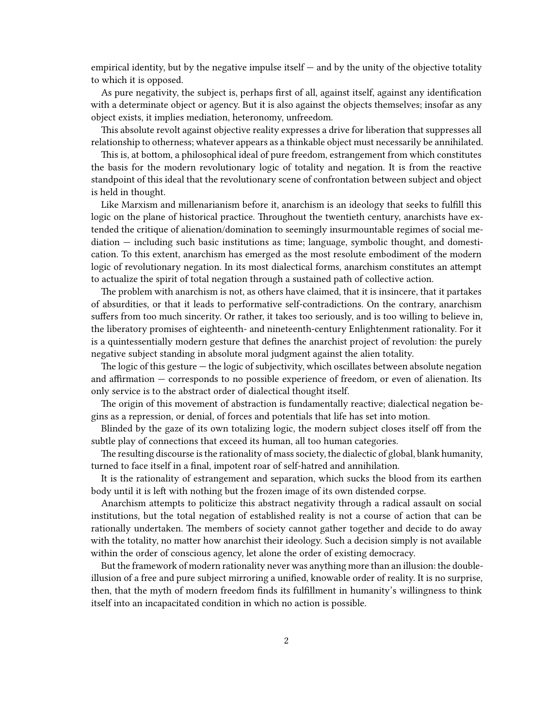empirical identity, but by the negative impulse itself  $-$  and by the unity of the objective totality to which it is opposed.

As pure negativity, the subject is, perhaps first of all, against itself, against any identification with a determinate object or agency. But it is also against the objects themselves; insofar as any object exists, it implies mediation, heteronomy, unfreedom.

This absolute revolt against objective reality expresses a drive for liberation that suppresses all relationship to otherness; whatever appears as a thinkable object must necessarily be annihilated.

This is, at bottom, a philosophical ideal of pure freedom, estrangement from which constitutes the basis for the modern revolutionary logic of totality and negation. It is from the reactive standpoint of this ideal that the revolutionary scene of confrontation between subject and object is held in thought.

Like Marxism and millenarianism before it, anarchism is an ideology that seeks to fulfill this logic on the plane of historical practice. Throughout the twentieth century, anarchists have extended the critique of alienation/domination to seemingly insurmountable regimes of social mediation — including such basic institutions as time; language, symbolic thought, and domestication. To this extent, anarchism has emerged as the most resolute embodiment of the modern logic of revolutionary negation. In its most dialectical forms, anarchism constitutes an attempt to actualize the spirit of total negation through a sustained path of collective action.

The problem with anarchism is not, as others have claimed, that it is insincere, that it partakes of absurdities, or that it leads to performative self-contradictions. On the contrary, anarchism suffers from too much sincerity. Or rather, it takes too seriously, and is too willing to believe in, the liberatory promises of eighteenth- and nineteenth-century Enlightenment rationality. For it is a quintessentially modern gesture that defines the anarchist project of revolution: the purely negative subject standing in absolute moral judgment against the alien totality.

The logic of this gesture — the logic of subjectivity, which oscillates between absolute negation and affirmation — corresponds to no possible experience of freedom, or even of alienation. Its only service is to the abstract order of dialectical thought itself.

The origin of this movement of abstraction is fundamentally reactive; dialectical negation begins as a repression, or denial, of forces and potentials that life has set into motion.

Blinded by the gaze of its own totalizing logic, the modern subject closes itself off from the subtle play of connections that exceed its human, all too human categories.

The resulting discourse is the rationality of mass society, the dialectic of global, blank humanity, turned to face itself in a final, impotent roar of self-hatred and annihilation.

It is the rationality of estrangement and separation, which sucks the blood from its earthen body until it is left with nothing but the frozen image of its own distended corpse.

Anarchism attempts to politicize this abstract negativity through a radical assault on social institutions, but the total negation of established reality is not a course of action that can be rationally undertaken. The members of society cannot gather together and decide to do away with the totality, no matter how anarchist their ideology. Such a decision simply is not available within the order of conscious agency, let alone the order of existing democracy.

But the framework of modern rationality never was anything more than an illusion: the doubleillusion of a free and pure subject mirroring a unified, knowable order of reality. It is no surprise, then, that the myth of modern freedom finds its fulfillment in humanity's willingness to think itself into an incapacitated condition in which no action is possible.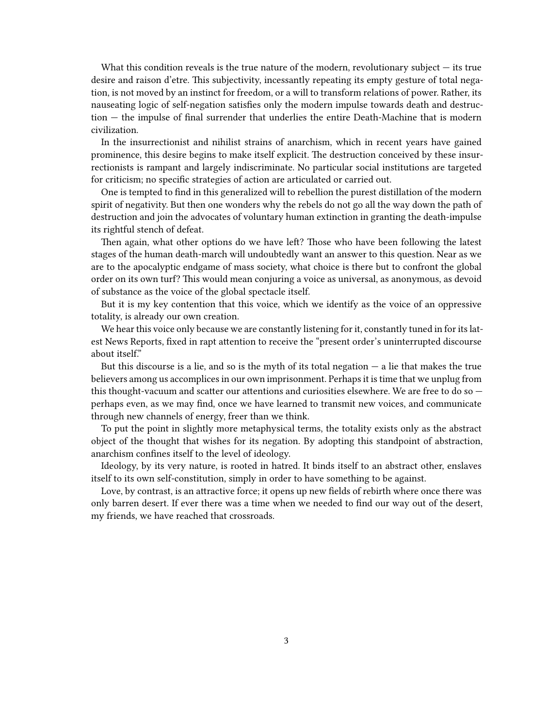What this condition reveals is the true nature of the modern, revolutionary subject  $-$  its true desire and raison d'etre. This subjectivity, incessantly repeating its empty gesture of total negation, is not moved by an instinct for freedom, or a will to transform relations of power. Rather, its nauseating logic of self-negation satisfies only the modern impulse towards death and destruction — the impulse of final surrender that underlies the entire Death-Machine that is modern civilization.

In the insurrectionist and nihilist strains of anarchism, which in recent years have gained prominence, this desire begins to make itself explicit. The destruction conceived by these insurrectionists is rampant and largely indiscriminate. No particular social institutions are targeted for criticism; no specific strategies of action are articulated or carried out.

One is tempted to find in this generalized will to rebellion the purest distillation of the modern spirit of negativity. But then one wonders why the rebels do not go all the way down the path of destruction and join the advocates of voluntary human extinction in granting the death-impulse its rightful stench of defeat.

Then again, what other options do we have left? Those who have been following the latest stages of the human death-march will undoubtedly want an answer to this question. Near as we are to the apocalyptic endgame of mass society, what choice is there but to confront the global order on its own turf? This would mean conjuring a voice as universal, as anonymous, as devoid of substance as the voice of the global spectacle itself.

But it is my key contention that this voice, which we identify as the voice of an oppressive totality, is already our own creation.

We hear this voice only because we are constantly listening for it, constantly tuned in for its latest News Reports, fixed in rapt attention to receive the "present order's uninterrupted discourse about itself."

But this discourse is a lie, and so is the myth of its total negation  $-$  a lie that makes the true believers among us accomplices in our own imprisonment. Perhaps it is time that we unplug from this thought-vacuum and scatter our attentions and curiosities elsewhere. We are free to do so perhaps even, as we may find, once we have learned to transmit new voices, and communicate through new channels of energy, freer than we think.

To put the point in slightly more metaphysical terms, the totality exists only as the abstract object of the thought that wishes for its negation. By adopting this standpoint of abstraction, anarchism confines itself to the level of ideology.

Ideology, by its very nature, is rooted in hatred. It binds itself to an abstract other, enslaves itself to its own self-constitution, simply in order to have something to be against.

Love, by contrast, is an attractive force; it opens up new fields of rebirth where once there was only barren desert. If ever there was a time when we needed to find our way out of the desert, my friends, we have reached that crossroads.